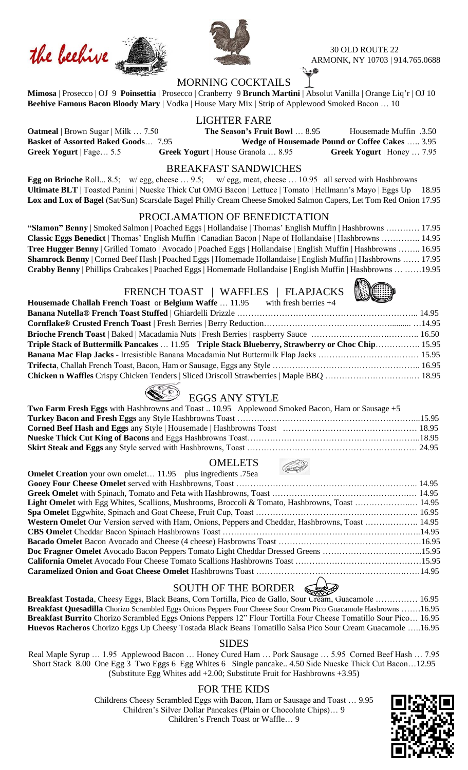





30 OLD ROUTE 22 ARMONK, NY 10703 | 914.765.0688

## MORNING COCKTAILS

**Mimosa** | Prosecco | OJ 9 **Poinsettia** | Prosecco | Cranberry 9 **Brunch Martini** | Absolut Vanilla | Orange Liq'r | OJ 10 **Beehive Famous Bacon Bloody Mary** | Vodka | House Mary Mix | Strip of Applewood Smoked Bacon … 10

### LIGHTER FARE

**Oatmeal** | Brown Sugar | Milk ... 7.50 **The Season's Fruit Bowl** ... 8.95 Housemade Muffin .3.50 **Basket of Assorted Baked Goods**…7.95 **Wedge of Housemade Pound or Coffee Cakes** ….. 3.95 **Greek Yogurt** | Fage… 5.5 **Greek Yogurt** | House Granola … 8.95 **Greek Yogurt** | Honey … 7.95

#### BREAKFAST SANDWICHES

**Egg on Brioche** Roll... 8.5; w/ egg, cheese … 9.5; w/ egg, meat, cheese … 10.95 all served with Hashbrowns **Ultimate BLT** | Toasted Panini | Nueske Thick Cut OMG Bacon | Lettuce | Tomato | Hellmann's Mayo | Eggs Up 18.95 **Lox and Lox of Bagel** (Sat/Sun) Scarsdale Bagel Philly Cream Cheese Smoked Salmon Capers, Let Tom Red Onion 17.95

#### PROCLAMATION OF BENEDICTATION

**"Slamon" Benny** | Smoked Salmon | Poached Eggs | Hollandaise | Thomas' English Muffin | Hashbrowns ………… 17.95 **Classic Eggs Benedict** | Thomas' English Muffin | Canadian Bacon | Nape of Hollandaise | Hashbrowns ………….. 14.95 **Tree Hugger Benny** | Grilled Tomato | Avocado | Poached Eggs | Hollandaise | English Muffin | Hashbrowns …….. 16.95 **Shamrock Benny** | Corned Beef Hash | Poached Eggs | Homemade Hollandaise | English Muffin | Hashbrowns …… 17.95 **Crabby Benny** | Phillips Crabcakes | Poached Eggs | Homemade Hollandaise | English Muffin | Hashbrowns … ……19.95

#### FRENCH TOAST | WAFFLES | FLAPJACKS



# EGGS ANY STYLE

| <b>Two Farm Fresh Eggs</b> with Hashbrowns and Toast  10.95 Applewood Smoked Bacon, Ham or Sausage +5 |  |
|-------------------------------------------------------------------------------------------------------|--|
|                                                                                                       |  |
|                                                                                                       |  |
|                                                                                                       |  |
|                                                                                                       |  |

**Chicken n Waffles** Crispy Chicken Tenders | Sliced Driscoll Strawberries | Maple BBQ ………………………….… 18.95

### **OMELETS**

| <b>Omelet Creation</b> your own omelet 11.95 plus ingredients .75ea                                    |  |
|--------------------------------------------------------------------------------------------------------|--|
|                                                                                                        |  |
|                                                                                                        |  |
| <b>Light Omelet</b> with Egg Whites, Scallions, Mushrooms, Broccoli & Tomato, Hashbrowns, Toast  14.95 |  |
|                                                                                                        |  |
| Western Omelet Our Version served with Ham, Onions, Peppers and Cheddar, Hashbrowns, Toast  14.95      |  |
|                                                                                                        |  |
|                                                                                                        |  |
| Doc Fragner Omelet Avocado Bacon Peppers Tomato Light Cheddar Dressed Greens 15.95                     |  |
|                                                                                                        |  |
|                                                                                                        |  |
|                                                                                                        |  |

## SOUTH OF THE BORDER

**Breakfast Tostada**, Cheesy Eggs, Black Beans, Corn Tortilla, Pico de Gallo, Sour Cream, Guacamole …………… 16.95 **Breakfast Quesadilla** Chorizo Scrambled Eggs Onions Peppers Four Cheese Sour Cream Pico Guacamole Hasbrowns …….16.95 **Breakfast Burrito** Chorizo Scrambled Eggs Onions Peppers 12" Flour Tortilla Four Cheese Tomatillo Sour Pico… 16.95 **Huevos Racheros** Chorizo Eggs Up Cheesy Tostada Black Beans Tomatillo Salsa Pico Sour Cream Guacamole …..16.95

#### SIDES

Real Maple Syrup … 1.95 Applewood Bacon … Honey Cured Ham … Pork Sausage … 5.95 Corned Beef Hash … 7.95 Short Stack 8.00 One Egg 3 Two Eggs 6 Egg Whites 6 Single pancake.. 4.50 Side Nueske Thick Cut Bacon…12.95 (Substitute Egg Whites add +2.00; Substitute Fruit for Hashbrowns +3.95)

#### FOR THE KIDS

Childrens Cheesy Scrambled Eggs with Bacon, Ham or Sausage and Toast … 9.95 Children's Silver Dollar Pancakes (Plain or Chocolate Chips)… 9 Children's French Toast or Waffle… 9